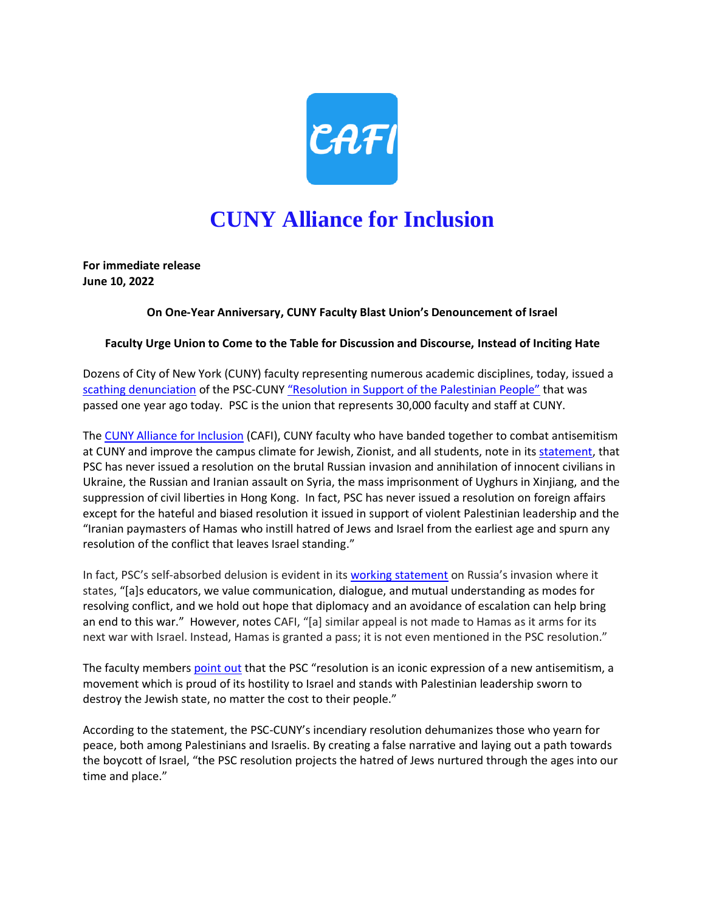

## **CUNY Alliance for Inclusion**

**For immediate release June 10, 2022** 

## **On One-Year Anniversary, CUNY Faculty Blast Union's Denouncement of Israel**

## **Faculty Urge Union to Come to the Table for Discussion and Discourse, Instead of Inciting Hate**

Dozens of City of New York (CUNY) faculty representing numerous academic disciplines, today, issued a [scathing denunciation](https://www.cunyallianceforinclusion.org/what-lies-behind-the-psc-cuny-resolution) of the PSC-CUNY ["Resolution in Support of the Palestinian People"](https://www.psc-cuny.org/sites/default/files/Final_Resolution_in_Support_of_the_Palestinian_People.pdf) that was passed one year ago today. PSC is the union that represents 30,000 faculty and staff at CUNY.

The [CUNY Alliance for Inclusion](https://www.cunyallianceforinclusion.org/) (CAFI), CUNY faculty who have banded together to combat antisemitism at CUNY and improve the campus climate for Jewish, Zionist, and all students, note in its [statement,](https://www.cunyallianceforinclusion.org/what-lies-behind-the-psc-cuny-resolution) that PSC has never issued a resolution on the brutal Russian invasion and annihilation of innocent civilians in Ukraine, the Russian and Iranian assault on Syria, the mass imprisonment of Uyghurs in Xinjiang, and the suppression of civil liberties in Hong Kong. In fact, PSC has never issued a resolution on foreign affairs except for the hateful and biased resolution it issued in support of violent Palestinian leadership and the "Iranian paymasters of Hamas who instill hatred of Jews and Israel from the earliest age and spurn any resolution of the conflict that leaves Israel standing."

In fact, PSC's self-absorbed delusion is evident in it[s working statement](https://www.psc-cuny.org/news-events/statement-russia%E2%80%99s-invasion-ukraine) on Russia's invasion where it states, "[a]s educators, we value communication, dialogue, and mutual understanding as modes for resolving conflict, and we hold out hope that diplomacy and an avoidance of escalation can help bring an end to this war." However, notes CAFI, "[a] similar appeal is not made to Hamas as it arms for its next war with Israel. Instead, Hamas is granted a pass; it is not even mentioned in the PSC resolution."

The faculty member[s point out](https://www.cunyallianceforinclusion.org/what-lies-behind-the-psc-cuny-resolution) that the PSC "resolution is an iconic expression of a new antisemitism, a movement which is proud of its hostility to Israel and stands with Palestinian leadership sworn to destroy the Jewish state, no matter the cost to their people."

According to the statement, the PSC-CUNY's incendiary resolution dehumanizes those who yearn for peace, both among Palestinians and Israelis. By creating a false narrative and laying out a path towards the boycott of Israel, "the PSC resolution projects the hatred of Jews nurtured through the ages into our time and place."